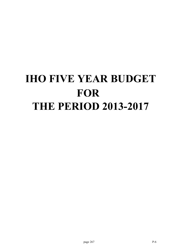# **IHO FIVE YEAR BUDGET FOR THE PERIOD 2013-2017**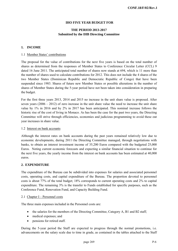#### **IHO FIVE YEAR BUDGET FOR**

#### **THE PERIOD 2013-2017 Submitted by the IHB Directing Committee**

#### **1. INCOME**

#### 1.1 Member States' contributions

The proposal for the value of contributions for the next five years is based on the total number of shares as determined from the responses of Member States to Conference Circular Letter (CCL) 9 dated 16 June 2011. The anticipated total number of shares now stands at 694, which is 11 more than the number of shares used to calculate contributions for 2012. This does not include the 4 shares of the two Member States (Dominican Republic and Democratic Republic of Congo) that have been suspended since 1983. Shares of future new Member States or possible alterations in the number of shares of Member States during the 5-year period have not been taken into consideration in preparing the budget.

For the first three years 2013, 2014 and 2015 no increase in the unit share value is proposed. After seven years  $(2006 - 2012)$  of zero increase in the unit share value the need to increase the unit share value by 1% in 2016 and by 2% in 2017 has been anticipated. This nominal increase follows the historic rise of the cost of living in Monaco. As has been the case for the past two years, the Directing Committee will strive through efficiencies, economies and judicious programming to avoid these out year increases in share value.

#### 1.2 Interest on bank accounts

Although the interest rates on bank accounts during the past years remained relatively low due to economic developments, during 2011 the Directing Committee managed, through negotiations with banks, to obtain an interest investment income of 35,200 Euros compared with the budgeted 25,000 Euros. Noting current economic forecasts and expecting a similar financial situation to continue for the next five years, the yearly income from the interest on bank accounts has been estimated at 40,000 euros.

#### **2. EXPENDITURE**

The expenditure of the Bureau can be subdivided into expenses for salaries and associated personnel costs, operating costs, and capital expenditure of the Bureau. The proportion devoted to personnel costs is about 77% of the total budget; 18% corresponds to current operating costs and 2% to capital expenditure. The remaining 3% is the transfer to Funds established for specific purposes, such as the Conference Fund, Renovation Fund, and Capacity Building Fund.

#### 2.1 Chapter I – Personnel costs

The three main expenses included in the Personnel costs are:

- the salaries for the members of the Directing Committee, Category A, B1 and B2 staff;
- medical expenses; and
- pensions for retired staff.

During the 5-year period the Staff are expected to progress through the normal promotions, i.e. advancements on the salary scale due to time in grade, as contained in the tables attached to the Staff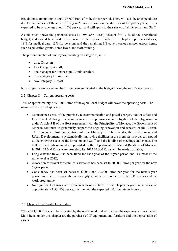Regulations, amounting to about 55,000 Euros for the 5-year period. There will also be an expenditure due to the increase of the cost of living in Monaco. Based on the statistics of the past 5 years, this is expected to be on average about 1.5% per year, and will apply to the salaries of all Directors and Staff.

As indicated above the personnel costs (11,596, 857 Euros) account for 77 % of the operational budget, and should be considered as an inflexible expense. 66% of this chapter represents salaries, 18% for medical care, 13% for pensions and the remaining 3% covers various miscellaneous items, such as education grants, home leave, and staff training.

The present number of employees, counting all categories, is 19:

- three Directors;
- four Category A staff;
- one Manager for Finance and Administration;
- nine Category B1 staff; and
- two Category B2 staff.

No changes in employee numbers have been anticipated in the budget during the next 5-year period.

#### 2.2 Chapter II – Current operating costs

18% or approximately 2,697,400 Euros of the operational budget will cover the operating costs. The main items in this chapter are:

- Maintenance costs of the premises, telecommunication and postal charges, auditor's fees and local travel. Although the maintenance of the premises is an obligation of the Organization under Article 3 II of the Host Agreement with the Principality of Monaco, the Government of Monaco continues to generously support the ongoing renovation and renewal of the Bureau. The Bureau, in close cooperation with the Ministry of Public Works, the Environment and Urban Development, is systematically improving facilities in the premises in order to respond to the evolving needs of the Directors and Staff, and the holding of meetings and events. The bulk of the funds required are provided by the Department of External Relations of Monaco. In 2011 62,000 Euros were provided; for 2012 64,500 Euros will be made available;
- Long distance travel has been fixed for each year of the 5-year period and is almost at the same level as 2012;
- Allocation for travel for technical assistance has been set to 50,000 Euros per year for the next 5-year period;
- Consultancy has been set between 60,000 and 70,000 Euros per year for the next 5-year period, in order to support the increasingly technical requirements of the IHO bodies and the work programme.
- No significant changes are foreseen with other items in this chapter beyond an increase of approximately 1.5%-2% per year in line with the expected inflation rate in Monaco.

#### 2.3 Chapter III – Capital Expenditure

2% or 323,200 Euros will be allocated by the operational budget to cover the expenses of this chapter. Main items under this chapter are the purchase of IT equipment and furniture and the depreciation of assets.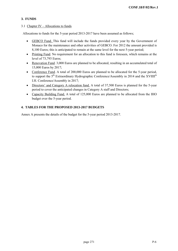#### **3. FUNDS**

#### 3.1 Chapter IV – Allocations to funds

Allocations to funds for the 5-year period 2013-2017 have been assumed as follows;

- GEBCO Fund. This fund will include the funds provided every year by the Government of Monaco for the maintenance and other activities of GEBCO. For 2012 the amount provided is 8,100 Euros; this is anticipated to remain at the same level for the next 5-year period;
- Printing Fund. No requirement for an allocation to this fund is foreseen, which remains at the level of 73,793 Euros;
- Renovation Fund. 3,000 Euros are planned to be allocated, resulting in an accumulated total of 15,000 Euros by 2017;
- Conference Fund. A total of 200,000 Euros are planned to be allocated for the 5-year period, to support the 5<sup>th</sup> Extraordinary Hydrographic Conference/Assembly in 2014 and the XVIIII<sup>th</sup> I.H. Conference/Assembly in 2017;
- Directors' and Category A relocation fund. A total of 37,500 Euros is planned for the 5-year period to cover the anticipated changes in Category A staff and Directors;
- Capacity Building Fund. A total of 125,000 Euros are planned to be allocated from the IHO budget over the 5-year period.

#### **4. TABLES FOR THE PROPOSED 2013-2017 BUDGETS**

Annex A presents the details of the budget for the 5-year period 2013-2017.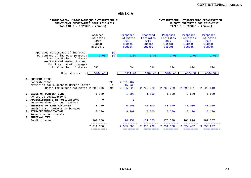**ANNEX A**

| ORGANISATION HYDROGRAPHIQUE INTERNATIONALE<br>PREVISIONS BUDGETAIRES POUR 2013-2017<br>TABLEAU I - REVENUS - (Euros) |                                                    |                           |                                                          |             |                                                          | INTERNATIONAL HYDROGRAPHIC ORGANISATION<br>BUDGET ESTIMATES FOR 2013-2017<br>TABLE $I - INCOME - (Euros)$ |                                                          |           |                                                                 |            |  |
|----------------------------------------------------------------------------------------------------------------------|----------------------------------------------------|---------------------------|----------------------------------------------------------|-------------|----------------------------------------------------------|-----------------------------------------------------------------------------------------------------------|----------------------------------------------------------|-----------|-----------------------------------------------------------------|------------|--|
|                                                                                                                      | Adopted<br>Estimates<br>2012<br>Budget<br>approuvé |                           | Proposed<br>Estimates<br>2013<br><b>Budget</b><br>budget |             | Proposed<br>Estimates<br>2014<br><b>Budget</b><br>budget | Proposed<br>Estimates<br>2015<br><b>Budget</b><br>budget                                                  | Proposed<br>Estimates<br>2016<br><b>Budget</b><br>budget |           | Proposed<br><b>Estimates</b><br>2017<br><b>Budget</b><br>budget |            |  |
| Approved Percentage of increase<br>Percentage of increase proposed                                                   | 0,00                                               | $($ $\mathcal{E})$<br>(8) |                                                          | 0,00        | 0,00                                                     | 0,00                                                                                                      |                                                          | 1,00      |                                                                 | 1,00       |  |
| Previous Number of shares<br>New/Restored Member States<br>Modification of tonnages<br>Final number of shares        | 680                                                |                           |                                                          | 694         | 694                                                      | 694                                                                                                       |                                                          | 694       |                                                                 | 694        |  |
| Unit share value                                                                                                     | 3984,48                                            |                           |                                                          | 3984,48     | 3984,48                                                  | 3984,48                                                                                                   |                                                          | 4024,32   |                                                                 | 4064,57    |  |
| A. CONTRIBUTIONS<br>Contributions<br>provision for suspended Member States<br>Basis for budget estimates 2 709 446   |                                                    | 698<br>$-4$<br>694        | 2 781 167<br>$-15$ 938<br>2 765 229                      |             | 2 765 229                                                | 2 765 229                                                                                                 | 2 792 881                                                |           | 2 820 810                                                       |            |  |
| <b>B. SALES OF PUBLICATIONS</b><br>Ventes de publications                                                            | 1 500                                              |                           |                                                          | 1 500       | 1 500                                                    | 1 500                                                                                                     |                                                          | 1 500     |                                                                 | 1 500      |  |
| C. ADVERTISEMENTS IN PUBLICATIONS<br>Annonces dans les publications                                                  | 0                                                  |                           |                                                          | $\mathbf 0$ |                                                          |                                                                                                           |                                                          |           |                                                                 |            |  |
| D. INTEREST ON BANK ACCOUNTS<br>Intérêts sur comptes en banques                                                      | 30 000                                             |                           |                                                          | 40 000      | 40 000                                                   | 40 000                                                                                                    | 40 000                                                   |           |                                                                 | 40 000     |  |
| E. EXTRAORDINARY INCOME<br>Revenus exceptionnels<br>F. INTERNAL TAX                                                  | 8 200                                              |                           |                                                          | 8 200       | 8 200                                                    | 8 200                                                                                                     |                                                          | 8 200     |                                                                 | 8 200      |  |
| Impôt interne                                                                                                        | 161 860                                            |                           | 170 151                                                  |             | 171 853                                                  | 176 578                                                                                                   | 181 876                                                  |           | 187 787                                                         |            |  |
|                                                                                                                      | 2 911 006<br>==========                            |                           | 2 985 080                                                | ==========  | 2 986 782<br>=========                                   | 2 991 508<br>=========                                                                                    | 3 024 457                                                | ========= | 3 058 297                                                       | ========== |  |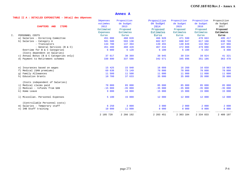| TABLE II A : DETAILED EXPENDITURE - Détail des dépenses |  |
|---------------------------------------------------------|--|
|---------------------------------------------------------|--|

|    |                                                   | Dépenses<br>estimées | Proposition<br>de budget | Proposition<br>de budget | Proposition<br>de budget | Proposition<br>de budget | Proposition<br>de budget |
|----|---------------------------------------------------|----------------------|--------------------------|--------------------------|--------------------------|--------------------------|--------------------------|
|    | <b>CHAPTERS</b><br><b>ITEMS</b><br><b>AND</b>     | 2012                 | 2013                     | 2014                     | 2015                     | 2016                     | 2017                     |
|    |                                                   | Estimated            | Proposed                 | Proposed                 | Proposed                 | Proposed                 | Proposed                 |
|    |                                                   | <b>Expenses</b>      | Estimates                | <b>Estimates</b>         | <b>Estimates</b>         | <b>Estimates</b>         | Estimates                |
| Ι. | PERSONNEL COSTS                                   | <b>Euros</b>         | <b>Euros</b>             | <b>Euros</b>             | <b>Euros</b>             | <b>Euros</b>             | Euros                    |
|    | a) Salaries - Directing Committee                 | 451 000              | 460 020                  | 466 920                  | 471 590                  | 478 663                  | 495 417                  |
|    | b) Salaries - Category A                          | 581 500              | 593 130                  | 602 027                  | 608 047                  | 617 168                  | 638 769                  |
|    | - Translators                                     | 134 700              | 137 394                  | 139 455                  | 140 849                  | 142 962                  | 147 966                  |
|    | - General Services (B & C)                        | 451 400              | 460 428                  | 467 334                  | 472 008                  | 479 088                  | 495 856                  |
|    | Overtime for B & C Categories                     | 6 000                | 6 1 2 0                  | 6 100                    | 6 100                    | 6 192                    | 6 408                    |
|    | (Costs dependent on Salaries)                     |                      |                          |                          |                          |                          |                          |
|    | Annual Bonus (B & C Categories only)<br>$\circ$ ) | 37 617               | 38 369                   | 38 945                   | 39 334                   | 39 924                   | 41 321                   |
|    | d) Payment to Retirement schemes                  | 330 890              | 337 508                  | 342 571                  | 345 996                  | 351 186                  | 363 478                  |
|    | e) Insurances based on wages                      | 15 425               | 15 940                   | 16 099                   | 16 260                   | 16 650                   | 16 983                   |
|    | f) Medical (GAN premiums)                         | 69 638               | 73 149                   | 70 000                   | 70 000                   | 70 000                   | 70 000                   |
|    | g) Family Allowances                              | 11 500               | 11 500                   | 11 000                   | 11 000                   | 11 000                   | 11 000                   |
|    | h) Education Grants                               | 10 700               | 37 633                   | 35 000                   | 35 000                   | 35 000                   | 35 000                   |
|    | (Costs independent of Salaries)                   |                      |                          |                          |                          |                          |                          |
|    | i) Medical claims paid                            | 70 000               | 85 000                   | 85 000                   | 85 000                   | 85 000                   | 85 000                   |
|    | j) Medical - refunds from GAN                     | $-15000$             | $-35000$                 | $-35000$                 | $-35000$                 | $-35000$                 | $-35000$                 |
|    | k) Home Leave                                     | 9 000                | 16 000                   | 15 000                   | 15 000                   | 15 000                   | 15 000                   |
|    | 1) Miscellan. Personnel Expenses                  | 5 100                | 15 000                   | 12 000                   | 12 000                   | 12 000                   | 12 000                   |
|    | (Controllable Personnel costs)                    |                      |                          |                          |                          |                          |                          |
|    | m) Salaries - Temporary staff                     | 6 250                | 3 000                    | 3 000                    | 2 000                    | 2 000                    | 2 000                    |
|    | n) IHB Staff training                             | 10 000<br>-------    | 11 000                   | 8 000<br>.               | 8 000<br>-----           | 8 000<br>------          | 8 000                    |
|    |                                                   | 2 185 720            | 2 266 192                | 2 283 451                | 2 303 184                | 2 334 833                | 2 409 197                |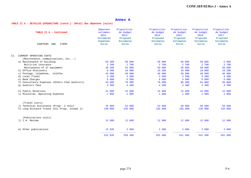#### TABLE II A : DETAILED EXPENDITURE (contd.)- Détail des dépenses (suite)

|     | TABLE II A - Continued<br>CHAPTERS<br><b>ITEMS</b><br>AND | <b>Dépenses</b><br>estimées<br>2012<br>Estimated<br><b>Expenses</b><br><b>Euros</b> | Proposition<br>de budget<br>2013<br>Proposed<br><b>Estimates</b><br><b>Euros</b> | Proposition<br>de budget<br>2014<br>Proposed<br>Estimates<br><b>Euros</b> | Proposition<br>de budget<br>2015<br>Proposed<br><b>Estimates</b><br><b>Euros</b> | Proposition<br>de budget<br>2016<br>Proposed<br><b>Estimates</b><br><b>Euros</b> | Proposition<br>de budget<br>2017<br>Proposed<br><b>Estimates</b><br><b>Euros</b> |
|-----|-----------------------------------------------------------|-------------------------------------------------------------------------------------|----------------------------------------------------------------------------------|---------------------------------------------------------------------------|----------------------------------------------------------------------------------|----------------------------------------------------------------------------------|----------------------------------------------------------------------------------|
|     |                                                           |                                                                                     |                                                                                  |                                                                           |                                                                                  |                                                                                  |                                                                                  |
|     |                                                           |                                                                                     |                                                                                  |                                                                           |                                                                                  |                                                                                  |                                                                                  |
| II. | CURRENT OPERATING COSTS                                   |                                                                                     |                                                                                  |                                                                           |                                                                                  |                                                                                  |                                                                                  |
|     | (Maintename, communications, etc)                         |                                                                                     |                                                                                  |                                                                           |                                                                                  |                                                                                  |                                                                                  |
|     | a) Maintenance of building                                | 59 600                                                                              | 50 000                                                                           | 50 000                                                                    | 50 000                                                                           | 50 000                                                                           | 5 000                                                                            |
|     | Multirisk insurance                                       | 2 200                                                                               | 2 700                                                                            | 2 700                                                                     | 2 700                                                                            | 2 700                                                                            | 2 700                                                                            |
|     | Maintenance of IT equipment                               | 39 200                                                                              | 55 000                                                                           | 50 000                                                                    | 50 000                                                                           | 50 000                                                                           | 50 000                                                                           |
|     | b) Office Stationery                                      | 8 500                                                                               | 10 000                                                                           | 10 200                                                                    | 10 000                                                                           | 10 000                                                                           | 10 200                                                                           |
|     | c) Postage, telephone, telefax                            | 43 000                                                                              | 40 000                                                                           | 40 000                                                                    | 40 000                                                                           | 40 000                                                                           | 40 000                                                                           |
|     | d) Local Travel                                           | 3 3 0 0                                                                             | 3 300                                                                            | 3 300                                                                     | 3 300                                                                            | 3 300                                                                            | 3 300                                                                            |
|     | e) Bank Charges                                           | 6 000                                                                               | 6 000                                                                            | 6 000                                                                     | 6 000                                                                            | 6 000                                                                            | 6 000                                                                            |
|     | f) Consultancy Expenses (Others than Auditors)            | 43 000                                                                              | 70 000                                                                           | 70 000                                                                    | 60 000                                                                           | 61 000                                                                           | 65 000                                                                           |
|     | q) Auditors fees                                          | 4 300                                                                               | 4 400                                                                            | 4 400                                                                     | 4 400                                                                            | 4 400                                                                            | 4 4 0 0                                                                          |
|     | h) Public Relations                                       | 21 000                                                                              | 15 000                                                                           | 15 000                                                                    | 15 000                                                                           | 15 000                                                                           | 15 000                                                                           |
|     | i) Miscellan. Operating Expenses                          | 1 000                                                                               | 1 000                                                                            | 1 000                                                                     | 1 000                                                                            | 1 000                                                                            | 1 000                                                                            |
|     |                                                           |                                                                                     |                                                                                  |                                                                           |                                                                                  |                                                                                  |                                                                                  |
|     | (Travel costs)                                            |                                                                                     |                                                                                  |                                                                           |                                                                                  |                                                                                  |                                                                                  |
|     | j) Technical Assistance (Progr. 2 only)                   | 45 000                                                                              | 52 000                                                                           | 52 000                                                                    | 50 000                                                                           | 50 000                                                                           | 50 000                                                                           |
|     | k) Long Distance Travel (All Progr. except 2)             | 230 000                                                                             | 235 000                                                                          | 235 000                                                                   | 235 000                                                                          | 235 000                                                                          | 235 000                                                                          |
|     | (Publications costs)                                      |                                                                                     |                                                                                  |                                                                           |                                                                                  |                                                                                  |                                                                                  |
|     | 1) I.H. Review                                            | 12 000                                                                              | 12 000                                                                           | 12 000                                                                    | 12 000                                                                           | 12 000                                                                           | 12 000                                                                           |
|     |                                                           |                                                                                     |                                                                                  |                                                                           |                                                                                  |                                                                                  |                                                                                  |
|     | m) Other publications                                     | 13 935                                                                              | 2 000                                                                            | 2 000                                                                     | 2 000                                                                            | 2 000                                                                            | 2 000                                                                            |
|     |                                                           | 532 035                                                                             | 558 400                                                                          | 553 600                                                                   | 541 400                                                                          | 542 400                                                                          | 501 600                                                                          |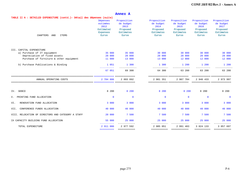| TABLE II A : DETAILED EXPENDITURE (contd.) - Détail des dépenses (suite)            |                                                                           |                                                                           |                                                                                  |                                                                                |                                                                               |
|-------------------------------------------------------------------------------------|---------------------------------------------------------------------------|---------------------------------------------------------------------------|----------------------------------------------------------------------------------|--------------------------------------------------------------------------------|-------------------------------------------------------------------------------|
| <b>Dépenses</b><br>estimées<br>2012<br>Estimated<br><b>Expenses</b><br><b>Euros</b> | Proposition<br>de budget<br>2013<br>Proposed<br><b>Estimates</b><br>Euros | Proposition<br>de budget<br>2014<br>Proposed<br>Estimates<br><b>Euros</b> | Proposition<br>de budget<br>2015<br>Proposed<br><b>Estimates</b><br><b>Euros</b> | Proposition<br>de budget<br>2016<br>Proposed<br><b>Estimates</b><br>Euros      | Proposition<br>de budget<br>2017<br>Proposed<br>Estimates<br>Euros            |
|                                                                                     |                                                                           |                                                                           |                                                                                  |                                                                                |                                                                               |
|                                                                                     |                                                                           |                                                                           |                                                                                  |                                                                                |                                                                               |
| 35 000                                                                              | 35 000                                                                    | 30 000                                                                    | 30 000                                                                           | 30 000                                                                         | 30 000                                                                        |
| 20 000                                                                              | 20 000                                                                    | 20 000                                                                    | 20 000                                                                           | 20 000                                                                         | 20 000                                                                        |
| 11 000                                                                              | 13 000                                                                    | 13 000                                                                    | 12 000                                                                           | 12 000                                                                         | 12 000                                                                        |
| 1 0 5 1                                                                             | 1 300                                                                     | 1 300                                                                     | 1 200                                                                            | 1 200                                                                          | 1 200                                                                         |
| 67 051                                                                              | 69 300                                                                    | 64 300                                                                    | 63 200                                                                           | 63 200                                                                         | 63 200                                                                        |
| 2 784 806                                                                           | 2 893 892                                                                 | 2 901 351                                                                 | 2 907 784                                                                        | 2 940 433                                                                      | ============== ===============<br>2 973 997<br>============== =============== |
| 8 200                                                                               | 8 200                                                                     | 8 200                                                                     | 8 200                                                                            | 8 200                                                                          | 8 200                                                                         |
| $\Omega$                                                                            | $\mathbf{0}$                                                              | $\mathbf{0}$                                                              | $\Omega$                                                                         | $\Omega$                                                                       | $\mathbf{0}$                                                                  |
| 3 000                                                                               | 3 000                                                                     | 3 000                                                                     | 3 000                                                                            | 3 000                                                                          | 3 000                                                                         |
| 40 000                                                                              | 40 000                                                                    | 40 000                                                                    | 40 000                                                                           | 40 000                                                                         | 40 000                                                                        |
| 20 000                                                                              | 7 500                                                                     | 7 500                                                                     | 7 500                                                                            | 7 500                                                                          | 7 500                                                                         |
| 55 000                                                                              | 25 000                                                                    | 25 000                                                                    | 25 000                                                                           | 25 000                                                                         | 25 000                                                                        |
| 2 911 006<br>==========                                                             | 2 977 592<br><b>BEBBBBBBBBBB</b>                                          | 2 985 051                                                                 | 2 991 483<br><b>ESSESSESSESS</b>                                                 | 3 0 24 1 3 3<br>===========                                                    | 3 057 697<br>============                                                     |
|                                                                                     | ------<br>$- - - - -$                                                     | $- - - -$                                                                 |                                                                                  | -----------------------------<br>=============================<br>============ | $- - - -$<br>$- - - - -$                                                      |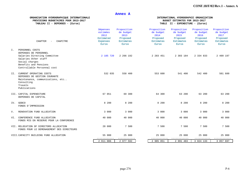PREVISIONS BUDGETAIRES POUR 2013-2017<br>TABLEAU II - DEPENSES - (Euros)

### ORGANISATION HYDROGRAPHIQUE INTERNATIONALE INTERNATIONAL HYDROGRAPHIC ORGANIZATION<br>PREVISIONS BUDGETAIRES POUR 2013-2017 TABLE II - EXPENDITURE - (Euros)

| <b>CHAPTER</b><br>CHAPITRE<br>$\overline{\phantom{0}}$                                                                                      | Dépenses<br>estimées<br>2012<br>Estimated<br><b>Expenses</b><br><b>Euros</b> | Proposition<br>de budget<br>2013<br>Proposed<br><b>Estimates</b><br><b>Euros</b> | Proposition<br>de budget<br>2014<br>Proposed<br><b>Estimates</b><br><b>Euros</b> | Proposition<br>de budget<br>2015<br>Proposed<br>Estimates<br><b>Euros</b> | Proposition<br>de budget<br>2016<br>Proposed<br><b>Estimates</b><br><b>Euros</b> | Proposition<br>de budget<br>2017<br>Proposed<br><b>Estimates</b><br>Euros |
|---------------------------------------------------------------------------------------------------------------------------------------------|------------------------------------------------------------------------------|----------------------------------------------------------------------------------|----------------------------------------------------------------------------------|---------------------------------------------------------------------------|----------------------------------------------------------------------------------|---------------------------------------------------------------------------|
| Ι.<br>PERSONNEL COSTS<br>DEPENSES DE PERSONNEL                                                                                              |                                                                              |                                                                                  |                                                                                  |                                                                           |                                                                                  |                                                                           |
| Salaries Directing Committee<br>Salaries Other staff<br>Social charges<br>Benefits and Pensions<br>Controllable Personnal cost              | 2 185 720                                                                    | 2 266 192                                                                        | 2 283 451                                                                        | 2 303 184                                                                 | 2 334 833                                                                        | 2 409 197                                                                 |
| CURRENT OPERATING COSTS<br>II.<br>DEPENSES DE GESTION COURANTE<br>Maintenance, communications, etc<br>Consulting<br>Travels<br>Publications | 532 035                                                                      | 558 400                                                                          | 553 600                                                                          | 541 400                                                                   | 542 400                                                                          | 501 600                                                                   |
| III. CAPITAL EXPENDITURE<br>DEPENSES DE CAPITAL                                                                                             | 67 051                                                                       | 69 300                                                                           | 64 300                                                                           | 63 200                                                                    | 63 200                                                                           | 63 200                                                                    |
| IV.<br><b>GEBCO</b><br>FONDS D'IMPRESSION                                                                                                   | 8 200                                                                        | 8 200                                                                            | 8 200                                                                            | 8 200                                                                     | 8 200                                                                            | 8 200                                                                     |
| V.<br>RENOVATION FUND ALLOCATION                                                                                                            | 3 000                                                                        | 3 000                                                                            | 3 000                                                                            | 3 000                                                                     | 3 000                                                                            | 3 000                                                                     |
| CONFERENCE FUND ALLOCATION<br>VI.<br>FONDS MIS EN RESERVE POUR LA CONFERENCE                                                                | 40 000                                                                       | 40 000                                                                           | 40 000                                                                           | 40 000                                                                    | 40 000                                                                           | 40 000                                                                    |
| VII. RELOCATION OF DIRECTORS ALLOCATION<br>FONDS POUR LE DEMENAGEMENT DES DIRECTEURS                                                        | 20 000                                                                       | 7 500                                                                            | 7 500                                                                            | 7 500                                                                     | 7 500                                                                            | 7 500                                                                     |
| VIII. CAPACITY BUILDING FUND ALLOCATION                                                                                                     | 55 000                                                                       | 25 000                                                                           | 25 000                                                                           | 25 000                                                                    | 25 000<br>-----------                                                            | 25 000                                                                    |
|                                                                                                                                             | 2 911 006                                                                    | 2 977 592                                                                        | 2 985 051                                                                        | 2 991 483                                                                 | 3 0 24 1 3 3                                                                     | 3 057 697                                                                 |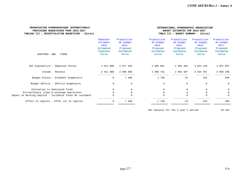#### **ORGANISATION HYDROGRAPHIQUE INTERNATIONALE** INTERNATIONAL HYDROGRAPHIC ORGANIZATION er in the Supervisions bubget all the Supervisions of the Supervisions of the Supervisions of the Supervision<br>Putility: Recapitulation BudgetAire - (Euros) and the Supervisions of the Supervision of the Supervision of th TABLEAU III : RECAPITULATION BUDGETAIRE -  $|Euros\rangle$

|                                                          | Dépenses<br>estimées<br>2012<br>Estimated<br><b>Expenses</b> | Proposition<br>de budget<br>2013<br>Proposed<br>Estimates | Proposition<br>de budget<br>2014<br>Proposed<br>Estimates | Proposition<br>de budget<br>2015<br>Proposed<br>Estimates | Proposition<br>de budget<br>2016<br>Proposed<br>Estimates | Proposition<br>de budget<br>2017<br>Proposed<br><b>Estimates</b> |
|----------------------------------------------------------|--------------------------------------------------------------|-----------------------------------------------------------|-----------------------------------------------------------|-----------------------------------------------------------|-----------------------------------------------------------|------------------------------------------------------------------|
| CHAPTERS<br>AND<br>ITEMS                                 | <b>Euros</b>                                                 | <b>Euros</b>                                              | <b>Euros</b>                                              | Euros                                                     | <b>Euros</b>                                              | <b>Euros</b>                                                     |
|                                                          |                                                              |                                                           |                                                           |                                                           |                                                           |                                                                  |
| Net Expenditure - Dépenses nettes                        | 2 911 006                                                    | 2 977 592                                                 | 2 985 051                                                 | 2 991 483                                                 | 3 0 24 1 3 3                                              | 3 057 697                                                        |
| Income - Revenus                                         | 2 911 006                                                    | 2 985 080                                                 | 2 986 781                                                 | 2 991 507                                                 | 3 0 2 4 4 5 7                                             | 3 058 296                                                        |
| Budget Excess - Excédent budgétaire                      | $\mathbf 0$                                                  | 7 488                                                     | 1 730                                                     | 24                                                        | 324                                                       | 599                                                              |
| Budget Deficit - Déficit budgétaire                      | $\mathbf 0$                                                  | $\mathbf 0$                                               | $\Omega$                                                  | $\mathbf{0}$                                              | $\mathbf{0}$                                              | $\mathbf{0}$                                                     |
| Allocation to dedicated funds                            |                                                              | $\Omega$                                                  |                                                           | $\Omega$                                                  | $\Omega$                                                  | $\Omega$                                                         |
| Extraordinary items & exchange operations                |                                                              |                                                           |                                                           | $\Omega$                                                  | $\Omega$                                                  | $\Omega$                                                         |
| Impact on Working Capital - Incidence fonds de roulement | $\Omega$                                                     |                                                           |                                                           | $\Omega$                                                  | $\Omega$                                                  | $\Omega$                                                         |
| Effect on capital - Effet sur le capital                 | $\Omega$                                                     | 7 488                                                     | 1 730                                                     | 24                                                        | 324                                                       | 599                                                              |
|                                                          |                                                              |                                                           |                                                           |                                                           |                                                           |                                                                  |

Net balance for the 5 year's period 10 165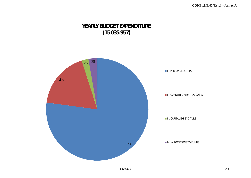## **YEARLY BUDGET EXPENDITURE (15 035 957)**